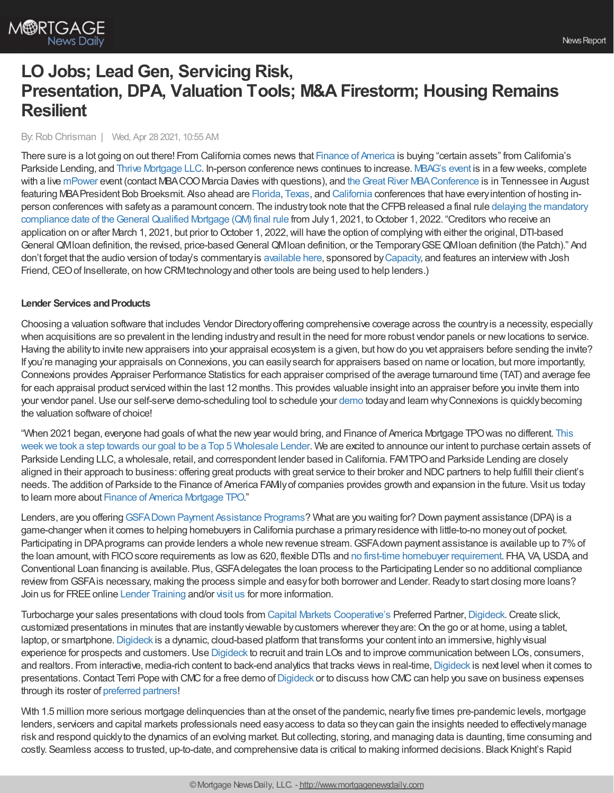# **LO Jobs; Lead Gen, Servicing Risk, Presentation, DPA, Valuation Tools; M&A Firestorm; Housing Remains Resilient**

#### By:Rob Chrisman | Wed, Apr 28 2021, 10:55 AM

There sure is a lot going on out there! From California comes news that Finance of [America](https://famtpo.com/2021/04/27/finance-of-america-companies-bolsters-wholesale-platform-with-acquisition-of-certain-assets-of-parkside-lending/) is buying "certain assets" from California's Parkside Lending, and Thrive [Mortgage](https://edition.pagesuite.com/infinity/article_popover_share.aspx?guid=a9cb8a54-bab2-4ca9-96df-f072ce6be464) LLC. In-person conference news continues to increase. [MBAG's](https://www.mbagconvention.org/) event is in a fewweeks, complete with a live [mPower](https://www.mba.org/get-involved/mpower) event (contact MBACOO Marcia Davies with questions), and the Great River MBA Conference is in Tennessee in August featuring MBAPresident Bob Broeksmit. Also ahead are [Florida,](https://mbaf.org/2021-secondary-and-convention/) [Texas](https://www.texasmba.org/convention/), and [California](https://westernsecondary.com/) conferences that have everyintention of hosting inperson conferences with safetyas a paramount concern. The industry took note that the CFPB released a final rule delaying the mandatory compliance date of the General Qualified Mortgage (QM) final rule from July 1, 2021, to October 1, 2022. "Creditors who receive an application on or after March 1, 2021, but prior to October 1, 2022, will have the option of complying with either the original, DTI-based General QMIoan definition, the revised, price-based General QMIoan definition, or the Temporary GSE QMIoan definition (the Patch)." And don't forget that the audio version of today's commentary is [available](https://linktr.ee/dailymortgagenews) here, sponsored by [Capacity](https://capacity.com/mortgage/), and features an interview with Josh Friend, CEO of Insellerate, on how CRM technology and other tools are being used to help lenders.)

#### **Lender Services and Products**

Choosing a valuation software that includes Vendor Directoryoffering comprehensive coverage across the countryis a necessity, especially when acquisitions are so prevalent in the lending industryand result in the need for more robust vendor panels or newlocations to service. Having the abilityto invite newappraisers into your appraisal ecosystem is a given, but howdo you vet appraisers before sending the invite? If you're managing your appraisals on Connexions, you can easilysearch for appraisers based on name or location, but more importantly, Connexions provides Appraiser Performance Statistics for each appraiser comprised of the average turnaround time (TAT) and average fee for each appraisal product serviced within the last 12 months. This provides valuable insight into an appraiser before you invite them into your vendor panel. Use our self-serve [demo](https://www.connexionssoftware.com/demo/?utm_source=chris&utm_medium=demo&utm_campaign=vd)-scheduling tool to schedule your demo today and learn why Connexions is quickly becoming the valuation software of choice!

"When 2021 began, everyone had goals of what the new year would bring, and Finance of America Mortgage TPO was no different. This week we took a step towards our goal to be a Top 5 [Wholesale](https://famtpo.com/2021/04/27/finance-of-america-companies-bolsters-wholesale-platform-with-acquisition-of-certain-assets-of-parkside-lending/) Lender. We are excited to announce our intent to purchase certain assets of Parkside Lending LLC, a wholesale, retail, and correspondent lender based in California. FAMTPO and Parkside Lending are closely aligned in their approach to business: offering great products with great service to their broker and NDC partners to help fulfill their client's needs. The addition of Parkside to the Finance of America FAMilyof companies provides growth and expansion in the future. Visit us today to learn more about Finance of America [Mortgage](https://famtpo.com/contact-us/) TPO."

Lenders, are you offering [GSFADown](http://www.gsfahome.org/) Payment Assistance Programs? What are you waiting for? Down payment assistance (DPA) is a game-changer when it comes to helping homebuyers in California purchase a primaryresidence with little-to-no moneyout of pocket. Participating in DPA programs can provide lenders a whole new revenue stream. GSFA down payment assistance is available up to 7% of the loan amount, with FICO score [requirement](http://www.gsfahome.org/)s as low as 620, flexible DTIs and no first-time homebuyer requirement. FHA, VA, USDA, and Conventional Loan financing is available. Plus, GSFA delegates the loan process to the Participating Lender so no additional compliance review from GSFA is necessary, making the process simple and easy for both borrower and Lender. Ready to start closing more loans? Join us for FREE online Lender [Training](http://www.gsfahome.org/lender/training.shtml) and/or [visit](http://www.gsfahome.org/) us for more information.

Turbocharge your sales presentations with cloud tools from Capital Markets [Cooperative's](https://www.capmkts.org/?utm_source=chrisman&utm_medium=e-news&utm_campaign=text-ad&utm_content=coop) Preferred Partner, [Digideck](https://www.capmkts.org/digideck?utm_source=chrisman&utm_medium=e-news&utm_campaign=text-ad&utm_content=coop). Create slick, customized presentations in minutes that are instantlyviewable bycustomers wherever theyare:On the go or at home, using a tablet, laptop, or smartphone. [Digideck](https://www.capmkts.org/digideck?utm_source=chrisman&utm_medium=e-news&utm_campaign=text-ad&utm_content=coop) is a dynamic, cloud-based platform that transforms your content into an immersive, highly visual experience for prospects and customers. Use [Digideck](https://www.capmkts.org/digideck?utm_source=chrisman&utm_medium=e-news&utm_campaign=text-ad&utm_content=coop) to recruit and train LOs and to improve communication between LOs, consumers, and realtors. From interactive, media-rich content to back-end analytics that tracks views in real-time, [Digideck](https://www.capmkts.org/digideck?utm_source=chrisman&utm_medium=e-news&utm_campaign=text-ad&utm_content=coop) is next level when it comes to presentations. Contact Terri Pope with CMC for a free demo of [Digideck](https://digideck-sales-2019.v5.platform.sportsdigita.com/digideck-sneak-peek-rob-chrisman?viewerUserId=604a4bdbbe133100144447b9&roomName=22678c7b-46cd-4e5a-b3d8-2fca2fcab844#/about-us/sneak-peek-3) or to discuss how CMC can help you save on business expenses through its roster of [preferred](http://www.capmkts.org/services/preferred-partner-program?utm_source=chrisman&utm_medium=e-news&utm_campaign=text-ad&utm_content=coop) partners!

With 1.5 million more serious mortgage delinguencies than at the onset of the pandemic, nearly five times pre-pandemic levels, mortgage lenders, servicers and capital markets professionals need easyaccess to data so theycan gain the insights needed to effectivelymanage risk and respond quicklyto the dynamics of an evolving market. But collecting, storing, and managing data is daunting, time consuming and costly. Seamless access to trusted, up-to-date, and comprehensive data is critical to making informed decisions. Black Knight's Rapid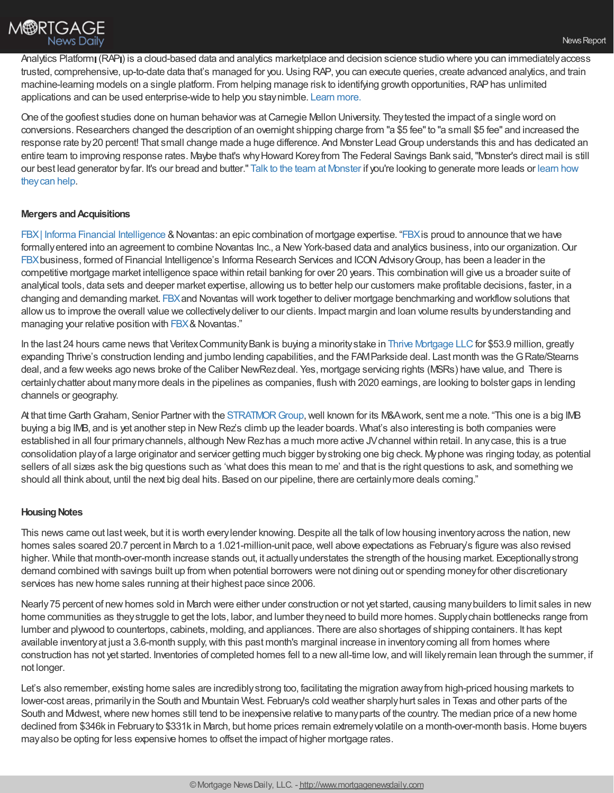Analytics Platform (RAP) is a cloud-based data and analytics marketplace and decision science studio where you can immediately access trusted, comprehensive, up-to-date data that's managed for you.Using RAP, you can execute queries, create advanced analytics, and train machine-learning models on a single platform. From helping manage risk to identifying growth opportunities, RAP has unlimited applications and can be used enterprise-wide to help you staynimble. [Learn](https://nam04.safelinks.protection.outlook.com/?url=https%253A%252F%252Fwww.blackknightinc.com%252Fwhat-we-do%252Fdata-services%252Frapid-analytics-platform-cloud-based-data-and-analytics-marketplace%252F%253Futm_source%253Drobchrisman%2526utm_medium%253Dpaid-referral%2526utm_campaign%253DDNA_Product%252520Pages_Lead%252520Form%252520Submissions&data=04%257C01%257CEmily.Engstrom%2540bkfs.com%257C7b6f8839f3ab4845f7d408d9068c6060%257C74ef4d5224794bb98d36530beb14e556%257C0%257C0%257C637548022267337996%257CUnknown%257CTWFpbGZsb3d8eyJWIjoiMC4wLjAwMDAiLCJQIjoiV2luMzIiLCJBTiI6Ik1haWwiLCJXVCI6Mn0%253D%257C1000&sdata=Ga5pSBxbc%252BD3xz38hG4v26yexnz7scHSKq%252BZE217jjM%253D&reserved=0) more.

One of the goofiest studies done on human behavior was at Carnegie Mellon University. They tested the impact of a single word on conversions. Researchers changed the description of an overnight shipping charge from "a \$5 fee" to "a small \$5 fee" and increased the response rate by20 percent! That small change made a huge difference. And Monster LeadGroup understands this and has dedicated an entire team to improving response rates. Maybe that's whyHoward Koreyfrom The Federal Savings Bank said,"Monster's direct mail is still our best lead [generator](https://www.monsterleadgroup.com/mortgage-direct-mail/sales-and-marketing?utm_medium=email&utm_source=Chrisman&utm_campaign=Chrisman+Newsletter&utm_content=Chrisman+Ad+2021-04-28) byfar. It's our bread and butter." Talk to the team at [Monster](https://www.monsterleadgroup.com/demo?utm_medium=email&utm_source=Chrisman&utm_campaign=Chrisman+Newsletter&utm_content=Chrisman+Ad+2021-04-28) if you're looking to generate more leads or learn how theycan help.

#### **Mergers andAcquisitions**

FBX | Informa Financial [Intelligence](https://financialintelligence.informa.com/mortgage-peer-benchmarking?utm_source=RCAdNovantas&utm_medium=Referral&utm_campaign=Mortgage%20Page) & Novantas: an epic combination of mortgage expertise. ["FBX](https://financialintelligence.informa.com/mortgage-peer-benchmarking?utm_source=RCAdNovantas&utm_medium=Referral&utm_campaign=Mortgage%20Page) is proud to announce that we have formally entered into an agreement to combine Novantas Inc., a New York-based data and analytics business, into our organization. Our [FBX](https://financialintelligence.informa.com/mortgage-peer-benchmarking?utm_source=RCAdNovantas&utm_medium=Referral&utm_campaign=Mortgage%20Page) business, formed of Financial Intelligence's Informa Research Services and ICON Advisory Group, has been a leader in the competitive mortgage market intelligence space within retail banking for over 20 years. This combination will give us a broader suite of analytical tools, data sets and deeper market expertise, allowing us to better help our customers make profitable decisions, faster, in a changing and demanding market. [FBX](https://financialintelligence.informa.com/mortgage-peer-benchmarking?utm_source=RCAdNovantas&utm_medium=Referral&utm_campaign=Mortgage%20Page)and Novantas will work together to deliver mortgage benchmarking and workflowsolutions that allowus to improve the overall value we collectivelydeliver to our clients. Impact margin and loan volume results byunderstanding and managing your relative position with [FBX](https://financialintelligence.informa.com/mortgage-peer-benchmarking?utm_source=RCAdNovantas&utm_medium=Referral&utm_campaign=Mortgage%20Page)& Novantas."

In the last 24 hours came news that Veritex Community Bank is buying a minority stake in Thrive [Mortgage](https://edition.pagesuite.com/infinity/article_popover_share.aspx?guid=a9cb8a54-bab2-4ca9-96df-f072ce6be464) LLC for \$53.9 million, greatly expanding Thrive's construction lending and jumbo lending capabilities, and the FAMParkside deal. Last month was the G Rate/Stearns deal, and a fewweeks ago news broke of the Caliber NewRezdeal. Yes, mortgage servicing rights (MSRs) have value, and There is certainlychatter about manymore deals in the pipelines as companies, flush with 2020 earnings, are looking to bolster gaps in lending channels or geography.

At that time Garth Graham, Senior Partner with the STRATMOR Group, well known for its M&A work, sent me a note. "This one is a big IMB buying a big IMB, and is yet another step in NewRez's climb up the leader boards. What's also interesting is both companies were established in all four primary channels, although New Rezhas a much more active JV channel within retail. In any case, this is a true consolidation playof a large originator and servicer getting much bigger bystroking one big check. Myphone was ringing today, as potential sellers of all sizes ask the big questions such as 'what does this mean to me' and that is the right questions to ask, and something we should all think about, until the next big deal hits. Based on our pipeline, there are certainlymore deals coming."

## **Housing Notes**

This news came out last week, but it is worth every lender knowing. Despite all the talk of low housing inventory across the nation, new homes sales soared 20.7 percent in March to a 1.021-million-unit pace, well above expectations as February's figure was also revised higher. While that month-over-month increase stands out, it actuallyunderstates the strength of the housing market. Exceptionallystrong demand combined with savings built up from when potential borrowers were not dining out or spending moneyfor other discretionary services has new home sales running at their highest pace since 2006.

Nearly 75 percent of new homes sold in March were either under construction or not yet started, causing many builders to limit sales in new home communities as theystruggle to get the lots, labor, and lumber theyneed to build more homes. Supplychain bottlenecks range from lumber and plywood to countertops, cabinets, molding, and appliances. There are also shortages of shipping containers. It has kept available inventoryat just a 3.6-month supply,with this past month's marginal increase in inventorycoming all from homes where construction has not yet started. Inventories of completed homes fell to a newall-time low, and will likelyremain lean through the summer, if not longer.

Let's also remember, existing home sales are incrediblystrong too, facilitating the migration awayfrom high-priced housing markets to lower-cost areas, primarilyin the South and Mountain West. February's cold weather sharplyhurt sales in Texas and other parts of the South and Midwest, where new homes still tend to be inexpensive relative to many parts of the country. The median price of a new home declined from \$346k in Februaryto \$331k in March, but home prices remain extremelyvolatile on a month-over-month basis.Home buyers mayalso be opting for less expensive homes to offset the impact of higher mortgage rates.